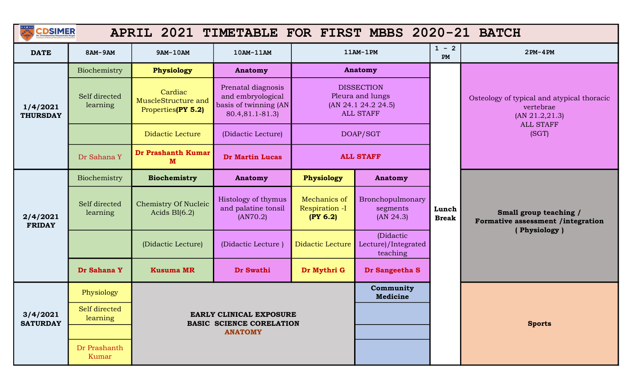| $\frac{***}{4}$             | <b>CDSIMER</b><br>APRIL 2021 TIMETABLE FOR FIRST MBBS 2020-21 BATCH |                                                      |                                                                                     |                                                                                         |                                                                                  |                       |                                                                                                |  |  |
|-----------------------------|---------------------------------------------------------------------|------------------------------------------------------|-------------------------------------------------------------------------------------|-----------------------------------------------------------------------------------------|----------------------------------------------------------------------------------|-----------------------|------------------------------------------------------------------------------------------------|--|--|
| <b>DATE</b>                 | 8AM-9AM                                                             | 9AM-10AM                                             | 10AM-11AM                                                                           |                                                                                         | $11AM-1PM$                                                                       | $1 - 2$<br>PM         | $2PM-4PM$                                                                                      |  |  |
|                             | Biochemistry                                                        | Physiology                                           | <b>Anatomy</b>                                                                      |                                                                                         | <b>Anatomy</b>                                                                   |                       |                                                                                                |  |  |
| 1/4/2021<br><b>THURSDAY</b> | Self directed<br>learning                                           | Cardiac<br>MuscleStructure and<br>Properties(PY 5.2) | Prenatal diagnosis<br>and embryological<br>basis of twinning (AN<br>80.4,81.1-81.3) |                                                                                         | <b>DISSECTION</b><br>Pleura and lungs<br>(AN 24.1 24.2 24.5)<br><b>ALL STAFF</b> |                       | Osteology of typical and atypical thoracic<br>vertebrae<br>(AN 21.2, 21.3)<br><b>ALL STAFF</b> |  |  |
|                             |                                                                     | <b>Didactic Lecture</b>                              | (Didactic Lecture)                                                                  | DOAP/SGT                                                                                |                                                                                  |                       | (SGT)                                                                                          |  |  |
|                             | Dr Sahana Y                                                         | Dr Prashanth Kumar<br>M                              | <b>Dr Martin Lucas</b>                                                              |                                                                                         | <b>ALL STAFF</b>                                                                 |                       |                                                                                                |  |  |
|                             | Biochemistry                                                        | <b>Biochemistry</b>                                  | <b>Anatomy</b>                                                                      | Physiology                                                                              | Anatomy                                                                          |                       |                                                                                                |  |  |
| 2/4/2021<br><b>FRIDAY</b>   | Self directed<br>learning                                           | <b>Chemistry Of Nucleic</b><br>Acids $BI(6.2)$       | Histology of thymus<br>and palatine tonsil<br>(AN70.2)                              | Mechanics of<br>Bronchopulmonary<br>Respiration -I<br>segments<br>(PY 6.2)<br>(AN 24.3) |                                                                                  | Lunch<br><b>Break</b> | Small group teaching /<br>Formative assessment /integration                                    |  |  |
|                             |                                                                     | (Didactic Lecture)                                   | (Didactic Lecture)                                                                  | <b>Didactic Lecture</b>                                                                 | (Didactic<br>Lecture)/Integrated<br>teaching                                     |                       | (Physiology)                                                                                   |  |  |
|                             | Dr Sahana Y                                                         | <b>Kusuma MR</b>                                     | Dr Swathi                                                                           | Dr Mythri G                                                                             | Dr Sangeetha S                                                                   |                       |                                                                                                |  |  |
|                             | Physiology                                                          |                                                      |                                                                                     |                                                                                         | Community<br><b>Medicine</b>                                                     |                       |                                                                                                |  |  |
| 3/4/2021<br><b>SATURDAY</b> | Self directed<br>learning                                           |                                                      | EARLY CLINICAL EXPOSURE<br><b>BASIC SCIENCE CORELATION</b>                          |                                                                                         |                                                                                  |                       | <b>Sports</b>                                                                                  |  |  |
|                             |                                                                     |                                                      | <b>ANATOMY</b>                                                                      |                                                                                         |                                                                                  |                       |                                                                                                |  |  |
|                             | Dr Prashanth<br>Kumar                                               |                                                      |                                                                                     |                                                                                         |                                                                                  |                       |                                                                                                |  |  |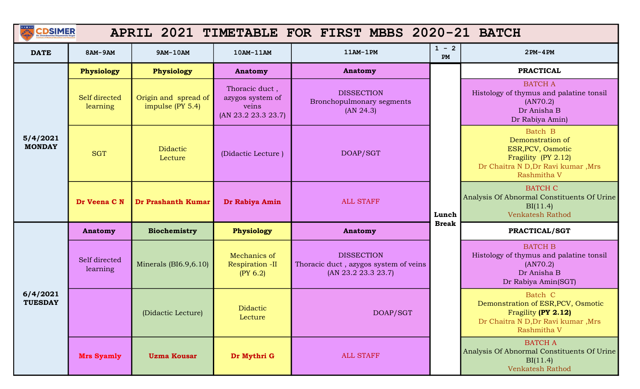| <b>CDSIMER</b>             |                           |                                             |                                                                    | APRIL 2021 TIMETABLE FOR FIRST MBBS 2020-21 BATCH                                 |               |                                                                                                                              |
|----------------------------|---------------------------|---------------------------------------------|--------------------------------------------------------------------|-----------------------------------------------------------------------------------|---------------|------------------------------------------------------------------------------------------------------------------------------|
| <b>DATE</b>                | 8AM-9AM                   | 9AM-10AM                                    | 10AM-11AM                                                          | $11AM-1PM$                                                                        | $1 - 2$<br>PM | $2PM-4PM$                                                                                                                    |
|                            | <b>Physiology</b>         | <b>Physiology</b>                           | <b>Anatomy</b>                                                     | Anatomy                                                                           |               | <b>PRACTICAL</b>                                                                                                             |
| 5/4/2021<br><b>MONDAY</b>  | Self directed<br>learning | Origin and spread of<br>impulse (PY $5.4$ ) | Thoracic duct,<br>azygos system of<br>veins<br>(AN 23.2 23.3 23.7) | <b>DISSECTION</b><br>Bronchopulmonary segments<br>(AN 24.3)                       |               | <b>BATCH A</b><br>Histology of thymus and palatine tonsil<br>(AN70.2)<br>Dr Anisha B<br>Dr Rabiya Amin)                      |
|                            | <b>SGT</b>                | <b>Didactic</b><br>Lecture                  | (Didactic Lecture)                                                 | DOAP/SGT                                                                          |               | Batch B<br>Demonstration of<br>ESR, PCV, Osmotic<br>Fragility (PY 2.12)<br>Dr Chaitra N D, Dr Ravi kumar, Mrs<br>Rashmitha V |
|                            | Dr Veena CN               | Dr Prashanth Kumar                          | Dr Rabiya Amin                                                     | <b>ALL STAFF</b><br>Lunch                                                         |               | <b>BATCH C</b><br>Analysis Of Abnormal Constituents Of Urine<br>BI(11.4)<br><b>Venkatesh Rathod</b>                          |
|                            | Anatomy                   | <b>Biochemistry</b>                         | <b>Physiology</b>                                                  | <b>Anatomy</b>                                                                    | <b>Break</b>  | PRACTICAL/SGT                                                                                                                |
|                            | Self directed<br>learning | Minerals $(BI6.9, 6.10)$                    | Mechanics of<br>Respiration -II<br>(PY 6.2)                        | <b>DISSECTION</b><br>Thoracic duct, azygos system of veins<br>(AN 23.2 23.3 23.7) |               | <b>BATCH B</b><br>Histology of thymus and palatine tonsil<br>(AN70.2)<br>Dr Anisha B<br>Dr Rabiya Amin(SGT)                  |
| 6/4/2021<br><b>TUESDAY</b> |                           | (Didactic Lecture)                          | Didactic<br>Lecture                                                | DOAP/SGT                                                                          |               | Batch C<br>Demonstration of ESR, PCV, Osmotic<br>Fragility (PY 2.12)<br>Dr Chaitra N D, Dr Ravi kumar, Mrs<br>Rashmitha V    |
|                            | <b>Mrs Syamly</b>         | <b>Uzma Kousar</b>                          | Dr Mythri G                                                        | <b>ALL STAFF</b>                                                                  |               | <b>BATCH A</b><br>Analysis Of Abnormal Constituents Of Urine<br>BI(11.4)<br><b>Venkatesh Rathod</b>                          |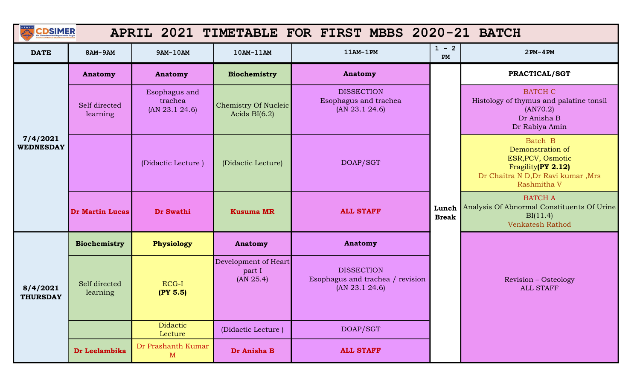| <b>CDSIMER</b>               |                           |                                            |                                                | APRIL 2021 TIMETABLE FOR FIRST MBBS 2020-21 BATCH                       |                       |                                                                                                                             |
|------------------------------|---------------------------|--------------------------------------------|------------------------------------------------|-------------------------------------------------------------------------|-----------------------|-----------------------------------------------------------------------------------------------------------------------------|
| <b>DATE</b>                  | 8AM-9AM                   | 9AM-10AM                                   | 10AM-11AM                                      | 11AM-1PM                                                                | $1 - 2$<br>PM         | $2PM-4PM$                                                                                                                   |
|                              | <b>Anatomy</b>            | <b>Anatomy</b>                             | Biochemistry                                   | Anatomy                                                                 |                       | PRACTICAL/SGT                                                                                                               |
|                              | Self directed<br>learning | Esophagus and<br>trachea<br>(AN 23.1 24.6) | <b>Chemistry Of Nucleic</b><br>Acids $BI(6.2)$ | <b>DISSECTION</b><br>Esophagus and trachea<br>(AN 23.1 24.6)            |                       | <b>BATCH C</b><br>Histology of thymus and palatine tonsil<br>(AN70.2)<br>Dr Anisha B<br>Dr Rabiya Amin                      |
| 7/4/2021<br><b>WEDNESDAY</b> |                           | (Didactic Lecture)                         | (Didactic Lecture)                             | DOAP/SGT                                                                |                       | Batch B<br>Demonstration of<br>ESR, PCV, Osmotic<br>Fragility(PY 2.12)<br>Dr Chaitra N D, Dr Ravi kumar, Mrs<br>Rashmitha V |
|                              | <b>Dr Martin Lucas</b>    | Dr Swathi                                  | <b>Kusuma MR</b>                               | <b>ALL STAFF</b>                                                        | Lunch<br><b>Break</b> | <b>BATCH A</b><br>Analysis Of Abnormal Constituents Of Urine<br>BI(11.4)<br><b>Venkatesh Rathod</b>                         |
|                              | <b>Biochemistry</b>       | Physiology                                 | <b>Anatomy</b>                                 | Anatomy                                                                 |                       |                                                                                                                             |
| 8/4/2021<br><b>THURSDAY</b>  | Self directed<br>learning | ECG-I<br>(PY 5.5)                          | Development of Heart<br>part I<br>(AN 25.4)    | <b>DISSECTION</b><br>Esophagus and trachea / revision<br>(AN 23.1 24.6) |                       | <b>Revision - Osteology</b><br><b>ALL STAFF</b>                                                                             |
|                              |                           | <b>Didactic</b><br>Lecture                 | (Didactic Lecture)                             | DOAP/SGT                                                                |                       |                                                                                                                             |
|                              | Dr Leelambika             | Dr Prashanth Kumar<br>$\mathbf{M}$         | Dr Anisha B                                    | <b>ALL STAFF</b>                                                        |                       |                                                                                                                             |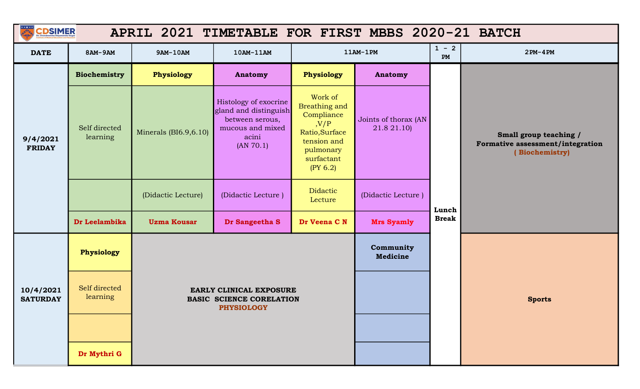|                              | <b>CDSIMER</b><br>APRIL 2021 TIMETABLE FOR FIRST MBBS 2020-21 BATCH |                                                            |                                                                                                             |                                                                                                                                |                                     |               |                                                                              |  |  |  |
|------------------------------|---------------------------------------------------------------------|------------------------------------------------------------|-------------------------------------------------------------------------------------------------------------|--------------------------------------------------------------------------------------------------------------------------------|-------------------------------------|---------------|------------------------------------------------------------------------------|--|--|--|
| <b>DATE</b>                  | 8AM-9AM                                                             | 9AM-10AM                                                   | 10AM-11AM                                                                                                   |                                                                                                                                | 11AM-1PM                            | $1 - 2$<br>PM | $2PM-4PM$                                                                    |  |  |  |
|                              | <b>Biochemistry</b>                                                 | Physiology                                                 | Anatomy                                                                                                     | Physiology                                                                                                                     | <b>Anatomy</b>                      |               |                                                                              |  |  |  |
| 9/4/2021<br><b>FRIDAY</b>    | Self directed<br>learning                                           | Minerals $(BI6.9,6.10)$                                    | Histology of exocrine<br>gland and distinguish<br>between serous,<br>mucous and mixed<br>acini<br>(AN 70.1) | Work of<br><b>Breathing and</b><br>Compliance<br>, V/P<br>Ratio, Surface<br>tension and<br>pulmonary<br>surfactant<br>(PY 6.2) | Joints of thorax (AN<br>21.8 21.10) |               | Small group teaching /<br>Formative assessment/integration<br>(Biochemistry) |  |  |  |
|                              |                                                                     | (Didactic Lecture)                                         | (Didactic Lecture)                                                                                          | <b>Didactic</b><br>Lecture                                                                                                     | (Didactic Lecture)                  | Lunch         |                                                                              |  |  |  |
|                              | Dr Leelambika                                                       | <b>Uzma Kousar</b>                                         | Dr Sangeetha S                                                                                              | Dr Veena C N                                                                                                                   | <b>Mrs Syamly</b>                   | <b>Break</b>  |                                                                              |  |  |  |
|                              | Physiology                                                          |                                                            |                                                                                                             |                                                                                                                                | Community<br><b>Medicine</b>        |               |                                                                              |  |  |  |
| 10/4/2021<br><b>SATURDAY</b> | Self directed<br>learning                                           | EARLY CLINICAL EXPOSURE<br><b>BASIC SCIENCE CORELATION</b> |                                                                                                             |                                                                                                                                |                                     | <b>Sports</b> |                                                                              |  |  |  |
|                              |                                                                     |                                                            |                                                                                                             |                                                                                                                                |                                     |               |                                                                              |  |  |  |
|                              | Dr Mythri G                                                         |                                                            |                                                                                                             |                                                                                                                                |                                     |               |                                                                              |  |  |  |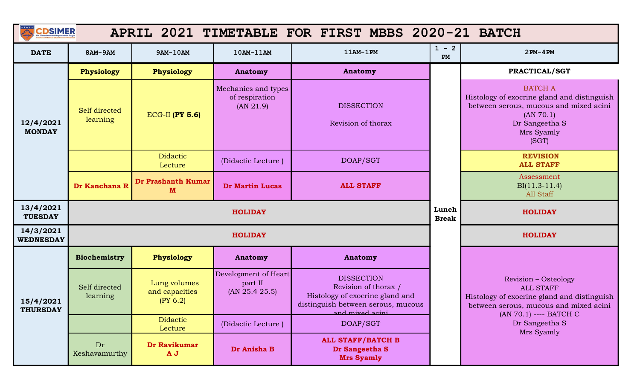| $rac{1}{2}$<br><b>CDSIMER</b> |                           |                                            |                                                    | APRIL 2021 TIMETABLE FOR FIRST MBBS 2020-21 BATCH                                                                                     |               |                                                                                                                                                               |
|-------------------------------|---------------------------|--------------------------------------------|----------------------------------------------------|---------------------------------------------------------------------------------------------------------------------------------------|---------------|---------------------------------------------------------------------------------------------------------------------------------------------------------------|
| <b>DATE</b>                   | 8AM-9AM                   | 9AM-10AM                                   | 10AM-11AM                                          | $11AM-1PM$                                                                                                                            | $1 - 2$<br>PM | $2PM-4PM$                                                                                                                                                     |
|                               | Physiology                | Physiology                                 | Anatomy                                            | <b>Anatomy</b>                                                                                                                        |               | PRACTICAL/SGT                                                                                                                                                 |
| 12/4/2021<br><b>MONDAY</b>    | Self directed<br>learning | <b>ECG-II (PY 5.6)</b>                     | Mechanics and types<br>of respiration<br>(AN 21.9) | <b>DISSECTION</b><br>Revision of thorax                                                                                               |               | <b>BATCH A</b><br>Histology of exocrine gland and distinguish<br>between serous, mucous and mixed acini<br>(AN 70.1)<br>Dr Sangeetha S<br>Mrs Syamly<br>(SGT) |
|                               |                           | <b>Didactic</b><br>Lecture                 | (Didactic Lecture)                                 | DOAP/SGT                                                                                                                              |               | <b>REVISION</b><br><b>ALL STAFF</b>                                                                                                                           |
|                               | Dr Kanchana R             | Dr Prashanth Kumar<br>M                    | <b>Dr Martin Lucas</b>                             | <b>ALL STAFF</b>                                                                                                                      |               | Assessment<br>$BI(11.3-11.4)$<br>All Staff                                                                                                                    |
| 13/4/2021<br><b>TUESDAY</b>   | <b>HOLIDAY</b>            |                                            |                                                    |                                                                                                                                       |               | <b>HOLIDAY</b>                                                                                                                                                |
| 14/3/2021<br><b>WEDNESDAY</b> |                           |                                            | <b>HOLIDAY</b>                                     |                                                                                                                                       |               | <b>HOLIDAY</b>                                                                                                                                                |
|                               | Biochemistry              | Physiology                                 | Anatomy                                            | <b>Anatomy</b>                                                                                                                        |               |                                                                                                                                                               |
| 15/4/2021<br><b>THURSDAY</b>  | Self directed<br>learning | Lung volumes<br>and capacities<br>(PY 6.2) | Development of Heart<br>part II<br>(AN 25.4 25.5)  | <b>DISSECTION</b><br>Revision of thorax /<br>Histology of exocrine gland and<br>distinguish between serous, mucous<br>and mixed acini |               | Revision - Osteology<br><b>ALL STAFF</b><br>Histology of exocrine gland and distinguish<br>between serous, mucous and mixed acini                             |
|                               |                           | <b>Didactic</b><br>Lecture                 | (Didactic Lecture)                                 | DOAP/SGT                                                                                                                              |               | (AN 70.1) ---- BATCH C<br>Dr Sangeetha S<br>Mrs Syamly                                                                                                        |
|                               | Dr<br>Keshavamurthy       | Dr Ravikumar<br>A J                        | Dr Anisha B                                        | <b>ALL STAFF/BATCH B</b><br>Dr Sangeetha S<br><b>Mrs Syamly</b>                                                                       |               |                                                                                                                                                               |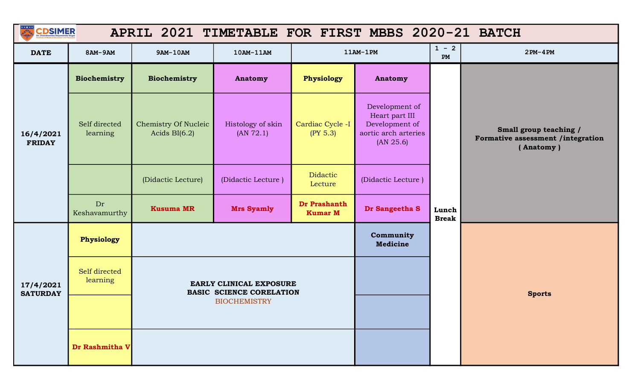| A<br><b>CDSIMER</b><br>APRIL 2021 TIMETABLE FOR FIRST MBBS 2020-21 BATCH |                           |                                                |                                                            |                                |                                                                                         |                       |                                                                          |  |
|--------------------------------------------------------------------------|---------------------------|------------------------------------------------|------------------------------------------------------------|--------------------------------|-----------------------------------------------------------------------------------------|-----------------------|--------------------------------------------------------------------------|--|
| <b>DATE</b>                                                              | 8AM-9AM                   | 9AM-10AM                                       | 10AM-11AM                                                  |                                | $11AM-1PM$                                                                              | $1 - 2$<br><b>PM</b>  | $2PM-4PM$                                                                |  |
|                                                                          | Biochemistry              | <b>Biochemistry</b>                            | <b>Anatomy</b>                                             | Physiology                     | Anatomy                                                                                 |                       |                                                                          |  |
| 16/4/2021<br><b>FRIDAY</b>                                               | Self directed<br>learning | <b>Chemistry Of Nucleic</b><br>Acids $BI(6.2)$ | Histology of skin<br>(AN 72.1)                             | Cardiac Cycle -I<br>(PY 5.3)   | Development of<br>Heart part III<br>Development of<br>aortic arch arteries<br>(AN 25.6) |                       | Small group teaching /<br>Formative assessment /integration<br>(Anatomy) |  |
|                                                                          |                           | (Didactic Lecture)                             | (Didactic Lecture)                                         | <b>Didactic</b><br>Lecture     | (Didactic Lecture)                                                                      |                       |                                                                          |  |
|                                                                          | Dr<br>Keshavamurthy       | <b>Kusuma MR</b>                               | <b>Mrs Syamly</b>                                          | Dr Prashanth<br><b>Kumar M</b> | Dr Sangeetha S                                                                          | Lunch<br><b>Break</b> |                                                                          |  |
|                                                                          | Physiology                |                                                |                                                            |                                | Community<br><b>Medicine</b>                                                            |                       |                                                                          |  |
| 17/4/2021<br><b>SATURDAY</b>                                             | Self directed<br>learning |                                                | EARLY CLINICAL EXPOSURE<br><b>BASIC SCIENCE CORELATION</b> |                                |                                                                                         |                       | <b>Sports</b>                                                            |  |
|                                                                          |                           |                                                | <b>BIOCHEMISTRY</b>                                        |                                |                                                                                         |                       |                                                                          |  |
|                                                                          | Dr Rashmitha V            |                                                |                                                            |                                |                                                                                         |                       |                                                                          |  |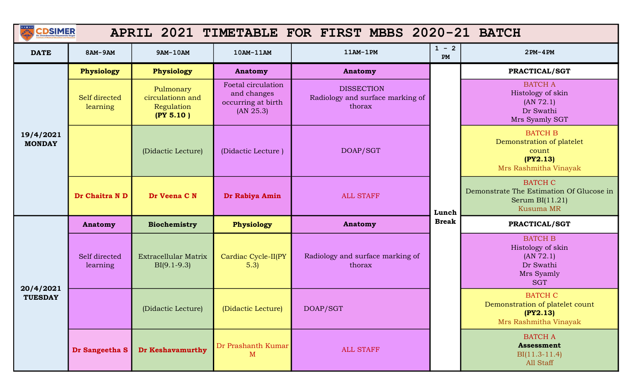| <b>CDSIMER</b>             |                           |                                                          |                                                                      | APRIL 2021 TIMETABLE FOR FIRST MBBS 2020-21 BATCH               |                       |                                                                                                     |
|----------------------------|---------------------------|----------------------------------------------------------|----------------------------------------------------------------------|-----------------------------------------------------------------|-----------------------|-----------------------------------------------------------------------------------------------------|
| <b>DATE</b>                | 8AM-9AM                   | 9AM-10AM                                                 | 10AM-11AM                                                            | 11AM-1PM                                                        | $1 - 2$<br>${\bf PM}$ | $2PM-4PM$                                                                                           |
|                            | <b>Physiology</b>         | Physiology                                               | <b>Anatomy</b>                                                       | <b>Anatomy</b>                                                  |                       | PRACTICAL/SGT                                                                                       |
|                            | Self directed<br>learning | Pulmonary<br>circulationn and<br>Regulation<br>(PY 5.10) | Foetal circulation<br>and changes<br>occurring at birth<br>(AN 25.3) | <b>DISSECTION</b><br>Radiology and surface marking of<br>thorax |                       | <b>BATCH A</b><br>Histology of skin<br>(AN 72.1)<br>Dr Swathi<br>Mrs Syamly SGT                     |
| 19/4/2021<br><b>MONDAY</b> |                           | (Didactic Lecture)                                       | (Didactic Lecture)                                                   | DOAP/SGT                                                        |                       | <b>BATCH B</b><br>Demonstration of platelet<br>count<br>(PY2.13)<br>Mrs Rashmitha Vinayak           |
|                            | Dr Chaitra N D            | Dr Veena C N                                             | Dr Rabiya Amin                                                       | <b>ALL STAFF</b>                                                | Lunch                 | <b>BATCH C</b><br>Demonstrate The Estimation Of Glucose in<br>Serum $BI(11.21)$<br><b>Kusuma MR</b> |
|                            | <b>Anatomy</b>            | <b>Biochemistry</b>                                      | Physiology                                                           | <b>Anatomy</b>                                                  | <b>Break</b>          | PRACTICAL/SGT                                                                                       |
| 20/4/2021                  | Self directed<br>learning | <b>Extracellular Matrix</b><br>$BI(9.1-9.3)$             | Cardiac Cycle-II(PY<br>5.3)                                          | Radiology and surface marking of<br>thorax                      |                       | <b>BATCH B</b><br>Histology of skin<br>(AN 72.1)<br>Dr Swathi<br>Mrs Syamly<br><b>SGT</b>           |
| <b>TUESDAY</b>             |                           | (Didactic Lecture)                                       | (Didactic Lecture)                                                   | DOAP/SGT                                                        |                       | <b>BATCH C</b><br>Demonstration of platelet count<br>(PY2.13)<br>Mrs Rashmitha Vinayak              |
|                            | Dr Sangeetha S            | <b>Dr Keshavamurthy</b>                                  | Dr Prashanth Kumar<br>M                                              | <b>ALL STAFF</b>                                                |                       | <b>BATCH A</b><br>Assessment<br>$BI(11.3-11.4)$<br>All Staff                                        |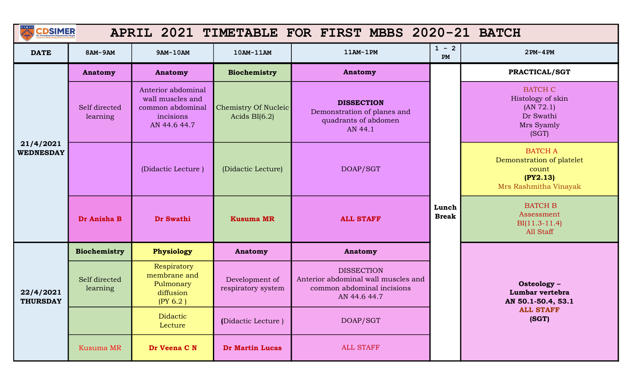| <b>CDSIMER</b>                |                           |                                                                                         |                                                | APRIL 2021 TIMETABLE FOR FIRST MBBS 2020-21 BATCH                                                      |               |                                                                                           |
|-------------------------------|---------------------------|-----------------------------------------------------------------------------------------|------------------------------------------------|--------------------------------------------------------------------------------------------------------|---------------|-------------------------------------------------------------------------------------------|
| <b>DATE</b>                   | 8AM-9AM                   | 9AM-10AM                                                                                | 10AM-11AM                                      | 11AM-1PM                                                                                               | $1 - 2$<br>PM | $2PM-4PM$                                                                                 |
|                               | <b>Anatomy</b>            | <b>Anatomy</b>                                                                          | Biochemistry                                   | <b>Anatomy</b>                                                                                         |               | PRACTICAL/SGT                                                                             |
|                               | Self directed<br>learning | Anterior abdominal<br>wall muscles and<br>common abdominal<br>incisions<br>AN 44.6 44.7 | <b>Chemistry Of Nucleic</b><br>Acids $BI(6.2)$ | <b>DISSECTION</b><br>Demonstration of planes and<br>quadrants of abdomen<br>AN 44.1                    |               | <b>BATCH C</b><br>Histology of skin<br>(AN 72.1)<br>Dr Swathi<br>Mrs Syamly<br>(SGT)      |
| 21/4/2021<br><b>WEDNESDAY</b> |                           | (Didactic Lecture)                                                                      | (Didactic Lecture)                             | DOAP/SGT                                                                                               |               | <b>BATCH A</b><br>Demonstration of platelet<br>count<br>(PY2.13)<br>Mrs Rashmitha Vinayak |
|                               | Dr Anisha B               | Dr Swathi                                                                               | <b>Kusuma MR</b>                               | <b>ALL STAFF</b>                                                                                       |               | <b>BATCH B</b><br>Assessment<br>$BI(11.3-11.4)$<br>All Staff                              |
|                               | <b>Biochemistry</b>       | Physiology                                                                              | Anatomy                                        | Anatomy                                                                                                |               |                                                                                           |
| 22/4/2021<br><b>THURSDAY</b>  | Self directed<br>learning | Respiratory<br>membrane and<br>Pulmonary<br>diffusion<br>(PY 6.2)                       | Development of<br>respiratory system           | <b>DISSECTION</b><br>Anterior abdominal wall muscles and<br>common abdominal incisions<br>AN 44.6 44.7 |               | Osteology -<br>Lumbar vertebra<br>AN 50.1-50.4, 53.1                                      |
|                               |                           | Didactic<br>Lecture                                                                     | (Didactic Lecture)                             | DOAP/SGT                                                                                               |               | <b>ALL STAFF</b><br>(SGT)                                                                 |
|                               | Kusuma MR                 | Dr Veena C N                                                                            | <b>Dr Martin Lucas</b>                         | <b>ALL STAFF</b>                                                                                       |               |                                                                                           |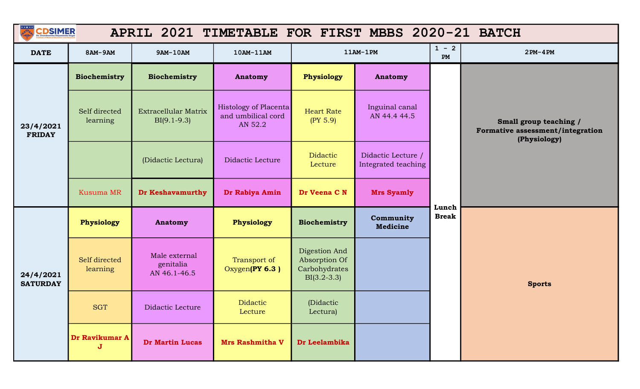| $\frac{1}{\sqrt{2}}$         | <b>CDSIMER</b><br>APRIL 2021 TIMETABLE FOR FIRST MBBS 2020-21 BATCH |                                              |                                                        |                                                                  |                                           |               |                                                                            |  |  |  |
|------------------------------|---------------------------------------------------------------------|----------------------------------------------|--------------------------------------------------------|------------------------------------------------------------------|-------------------------------------------|---------------|----------------------------------------------------------------------------|--|--|--|
| <b>DATE</b>                  | 8AM-9AM                                                             | 9AM-10AM                                     | 10AM-11AM                                              |                                                                  | $11AM-1PM$                                | $1 - 2$<br>PM | $2PM-4PM$                                                                  |  |  |  |
|                              | Biochemistry                                                        | <b>Biochemistry</b>                          | Anatomy                                                | Physiology                                                       | <b>Anatomy</b>                            |               |                                                                            |  |  |  |
| 23/4/2021<br><b>FRIDAY</b>   | Self directed<br>learning                                           | <b>Extracellular Matrix</b><br>$BI(9.1-9.3)$ | Histology of Placenta<br>and umbilical cord<br>AN 52.2 | <b>Heart Rate</b><br>(PY 5.9)                                    | Inguinal canal<br>AN 44.4 44.5            |               | Small group teaching /<br>Formative assessment/integration<br>(Physiology) |  |  |  |
|                              |                                                                     | (Didactic Lectura)                           | Didactic Lecture                                       | <b>Didactic</b><br>Lecture                                       | Didactic Lecture /<br>Integrated teaching |               |                                                                            |  |  |  |
|                              | <b>Kusuma MR</b>                                                    | <b>Dr Keshavamurthy</b>                      | Dr Rabiya Amin                                         | Dr Veena C N                                                     | <b>Mrs Syamly</b>                         | Lunch         |                                                                            |  |  |  |
|                              | Physiology                                                          | <b>Anatomy</b>                               | Physiology                                             | <b>Biochemistry</b>                                              | Community<br><b>Medicine</b>              | <b>Break</b>  | <b>Sports</b>                                                              |  |  |  |
| 24/4/2021<br><b>SATURDAY</b> | Self directed<br>learning                                           | Male external<br>genitalia<br>AN 46.1-46.5   | Transport of<br>Oxygen(PY 6.3)                         | Digestion And<br>Absorption Of<br>Carbohydrates<br>$BI(3.2-3.3)$ |                                           |               |                                                                            |  |  |  |
|                              | <b>SGT</b>                                                          | Didactic Lecture                             | Didactic<br>Lecture                                    | (Didactic<br>Lectura)                                            |                                           |               |                                                                            |  |  |  |
|                              | Dr Ravikumar A<br>$\mathbf{J}$                                      | Dr Martin Lucas                              | <b>Mrs Rashmitha V</b>                                 | Dr Leelambika                                                    |                                           |               |                                                                            |  |  |  |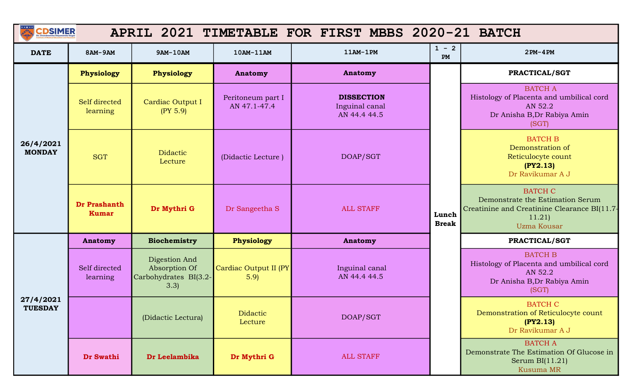| <b>CDSIMER</b>              |                              |                                                                 |                                   | APRIL 2021 TIMETABLE FOR FIRST MBBS 2020-21 BATCH   |                       |                                                                                                                            |
|-----------------------------|------------------------------|-----------------------------------------------------------------|-----------------------------------|-----------------------------------------------------|-----------------------|----------------------------------------------------------------------------------------------------------------------------|
| <b>DATE</b>                 | 8AM-9AM                      | 9AM-10AM                                                        | 10AM-11AM                         | $11AM-1PM$                                          | $1 - 2$<br>PM         | $2PM-4PM$                                                                                                                  |
|                             | Physiology                   | <b>Physiology</b>                                               | Anatomy                           | <b>Anatomy</b>                                      |                       | PRACTICAL/SGT                                                                                                              |
|                             | Self directed<br>learning    | Cardiac Output I<br>(PY 5.9)                                    | Peritoneum part I<br>AN 47.1-47.4 | <b>DISSECTION</b><br>Inguinal canal<br>AN 44.4 44.5 |                       | <b>BATCH A</b><br>Histology of Placenta and umbilical cord<br>AN 52.2<br>Dr Anisha B, Dr Rabiya Amin<br>(SGT)              |
| 26/4/2021<br><b>MONDAY</b>  | <b>SGT</b>                   | <b>Didactic</b><br>Lecture                                      | (Didactic Lecture)                | DOAP/SGT                                            |                       | <b>BATCH B</b><br>Demonstration of<br>Reticulocyte count<br>(PY2.13)<br>Dr Ravikumar A J                                   |
|                             | Dr Prashanth<br><b>Kumar</b> | Dr Mythri G                                                     | Dr Sangeetha S                    | <b>ALL STAFF</b>                                    | Lunch<br><b>Break</b> | <b>BATCH C</b><br>Demonstrate the Estimation Serum<br>Creatinine and Creatinine Clearance BI(11.7-<br>11.21<br>Uzma Kousar |
|                             | <b>Anatomy</b>               | <b>Biochemistry</b>                                             | Physiology                        | Anatomy                                             |                       | PRACTICAL/SGT                                                                                                              |
|                             | Self directed<br>learning    | Digestion And<br>Absorption Of<br>Carbohydrates BI(3.2-<br>3.3) | Cardiac Output II (PY<br>5.9      | Inguinal canal<br>AN 44.4 44.5                      |                       | <b>BATCH B</b><br>Histology of Placenta and umbilical cord<br>AN 52.2<br>Dr Anisha B, Dr Rabiya Amin<br>(SGT)              |
| 27/4/2021<br><b>TUESDAY</b> |                              | (Didactic Lectura)                                              | Didactic<br>Lecture               | DOAP/SGT                                            |                       | <b>BATCH C</b><br>Demonstration of Reticulocyte count<br>(PY2.13)<br>Dr Ravikumar A J                                      |
|                             | Dr Swathi                    | Dr Leelambika                                                   | Dr Mythri G                       | <b>ALL STAFF</b>                                    |                       | <b>BATCH A</b><br>Demonstrate The Estimation Of Glucose in<br>Serum $BI(11.21)$<br>Kusuma MR                               |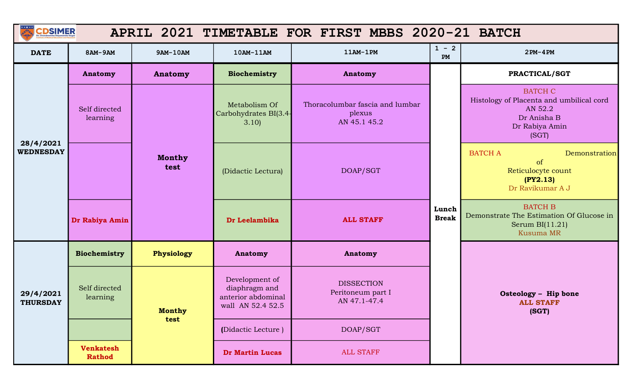| <b>CDSIMER</b>               |                                   |                                                                                             |                                                | APRIL 2021 TIMETABLE FOR FIRST MBBS 2020-21 BATCH         |                       |                                                                                                                 |
|------------------------------|-----------------------------------|---------------------------------------------------------------------------------------------|------------------------------------------------|-----------------------------------------------------------|-----------------------|-----------------------------------------------------------------------------------------------------------------|
| <b>DATE</b>                  | 8AM-9AM                           | 9AM-10AM                                                                                    | 10AM-11AM                                      | $11AM-1PM$                                                | $1 - 2$<br>PM         | $2PM-4PM$                                                                                                       |
|                              | Anatomy                           | <b>Anatomy</b>                                                                              | Biochemistry                                   | Anatomy                                                   |                       | PRACTICAL/SGT                                                                                                   |
| 28/4/2021                    | Self directed<br>learning         |                                                                                             | Metabolism Of<br>Carbohydrates BI(3.4-<br>3.10 | Thoracolumbar fascia and lumbar<br>plexus<br>AN 45.1 45.2 |                       | <b>BATCH C</b><br>Histology of Placenta and umbilical cord<br>AN 52.2<br>Dr Anisha B<br>Dr Rabiya Amin<br>(SGT) |
| <b>WEDNESDAY</b>             |                                   | <b>Monthy</b><br>test                                                                       | (Didactic Lectura)                             | DOAP/SGT                                                  |                       | <b>BATCH A</b><br>Demonstration<br>of<br>Reticulocyte count<br>(PY2.13)<br>Dr Ravikumar A J                     |
|                              | Dr Rabiya Amin                    |                                                                                             | Dr Leelambika                                  | <b>ALL STAFF</b>                                          | Lunch<br><b>Break</b> | <b>BATCH B</b><br>Demonstrate The Estimation Of Glucose in<br>Serum $BI(11.21)$<br><b>Kusuma MR</b>             |
|                              | Biochemistry                      | Physiology                                                                                  | <b>Anatomy</b>                                 | <b>Anatomy</b>                                            |                       |                                                                                                                 |
| 29/4/2021<br><b>THURSDAY</b> | Self directed<br>learning         | Development of<br>diaphragm and<br>anterior abdominal<br>wall AN 52.4 52.5<br><b>Monthy</b> |                                                | <b>DISSECTION</b><br>Peritoneum part I<br>AN 47.1-47.4    |                       | Osteology - Hip bone<br><b>ALL STAFF</b><br>(SGT)                                                               |
|                              |                                   | test                                                                                        | (Didactic Lecture)                             | DOAP/SGT                                                  |                       |                                                                                                                 |
|                              | <b>Venkatesh</b><br><b>Rathod</b> |                                                                                             | Dr Martin Lucas                                | <b>ALL STAFF</b>                                          |                       |                                                                                                                 |